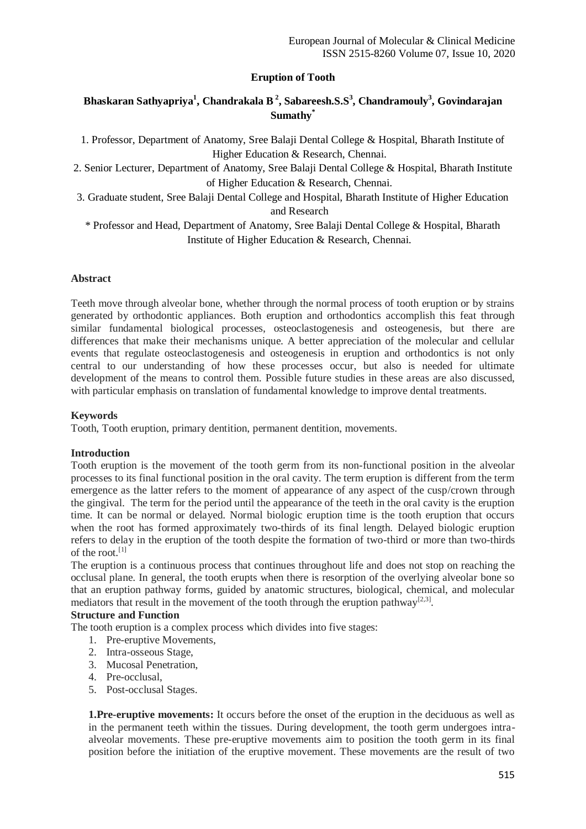## **Eruption of Tooth**

# **Bhaskaran Sathyapriya<sup>1</sup> , Chandrakala B <sup>2</sup> , Sabareesh.S.S<sup>3</sup> , Chandramouly<sup>3</sup> , Govindarajan Sumathy\***

1. Professor, Department of Anatomy, Sree Balaji Dental College & Hospital, Bharath Institute of Higher Education & Research, Chennai.

2. Senior Lecturer, Department of Anatomy, Sree Balaji Dental College & Hospital, Bharath Institute of Higher Education & Research, Chennai.

3. Graduate student, Sree Balaji Dental College and Hospital, Bharath Institute of Higher Education and Research

\* Professor and Head, Department of Anatomy, Sree Balaji Dental College & Hospital, Bharath Institute of Higher Education & Research, Chennai.

### **Abstract**

Teeth move through alveolar bone, whether through the normal process of tooth eruption or by strains generated by orthodontic appliances. Both eruption and orthodontics accomplish this feat through similar fundamental biological processes, osteoclastogenesis and osteogenesis, but there are differences that make their mechanisms unique. A better appreciation of the molecular and cellular events that regulate osteoclastogenesis and osteogenesis in eruption and orthodontics is not only central to our understanding of how these processes occur, but also is needed for ultimate development of the means to control them. Possible future studies in these areas are also discussed, with particular emphasis on translation of fundamental knowledge to improve dental treatments.

#### **Keywords**

Tooth, Tooth eruption, primary dentition, permanent dentition, movements.

#### **Introduction**

Tooth eruption is the movement of the tooth germ from its non-functional position in the alveolar processes to its final functional position in the oral cavity. The term eruption is different from the term emergence as the latter refers to the moment of appearance of any aspect of the cusp/crown through the gingival. The term for the period until the appearance of the teeth in the oral cavity is the eruption time. It can be normal or delayed. Normal biologic eruption time is the tooth eruption that occurs when the root has formed approximately two-thirds of its final length. Delayed biologic eruption refers to delay in the eruption of the tooth despite the formation of two-third or more than two-thirds of the root.[1]

The eruption is a continuous process that continues throughout life and does not stop on reaching the occlusal plane. In general, the tooth erupts when there is resorption of the overlying alveolar bone so that an eruption pathway forms, guided by anatomic structures, biological, chemical, and molecular mediators that result in the movement of the tooth through the eruption pathway<sup>[2,3]</sup>.

#### **Structure and Function**

The tooth eruption is a complex process which divides into five stages:

- 1. Pre-eruptive Movements,
- 2. Intra-osseous Stage,
- 3. Mucosal Penetration,
- 4. Pre-occlusal,
- 5. Post-occlusal Stages.

**1.Pre-eruptive movements:** It occurs before the onset of the eruption in the deciduous as well as in the permanent teeth within the tissues. During development, the tooth germ undergoes intraalveolar movements. These pre-eruptive movements aim to position the tooth germ in its final position before the initiation of the eruptive movement. These movements are the result of two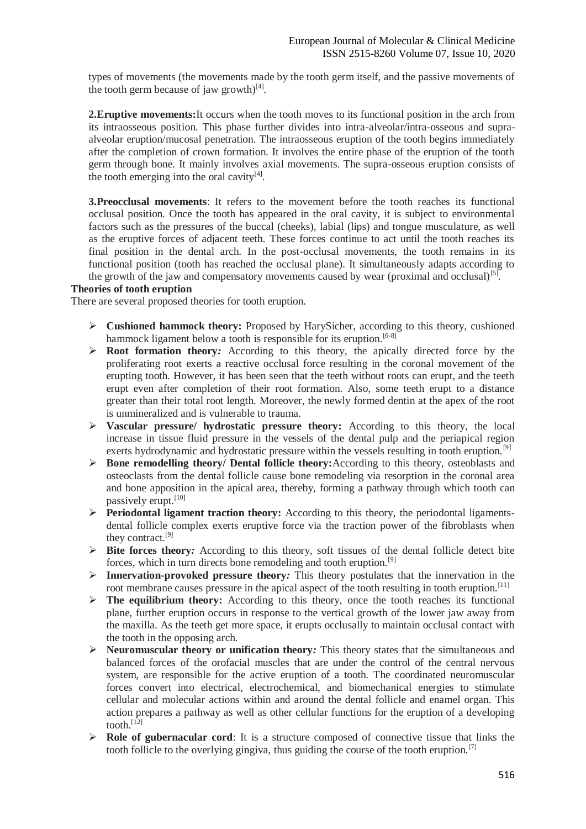types of movements (the movements made by the tooth germ itself, and the passive movements of the tooth germ because of jaw growth) $^{[4]}$ .

**2.Eruptive movements:**It occurs when the tooth moves to its functional position in the arch from its intraosseous position. This phase further divides into intra-alveolar/intra-osseous and supraalveolar eruption/mucosal penetration. The intraosseous eruption of the tooth begins immediately after the completion of crown formation. It involves the entire phase of the eruption of the tooth germ through bone. It mainly involves axial movements. The supra-osseous eruption consists of the tooth emerging into the oral cavity $[4]$ .

**3.Preocclusal movements**: It refers to the movement before the tooth reaches its functional occlusal position. Once the tooth has appeared in the oral cavity, it is subject to environmental factors such as the pressures of the buccal (cheeks), labial (lips) and tongue musculature, as well as the eruptive forces of adjacent teeth. These forces continue to act until the tooth reaches its final position in the dental arch. In the post-occlusal movements, the tooth remains in its functional position (tooth has reached the occlusal plane). It simultaneously adapts according to the growth of the jaw and compensatory movements caused by wear (proximal and occlusal)<sup>[5]</sup>.

#### **Theories of tooth eruption**

There are several proposed theories for tooth eruption.

- **Cushioned hammock theory:** Proposed by HarySicher, according to this theory, cushioned hammock ligament below a tooth is responsible for its eruption.<sup>[6-8]</sup>
- **Root formation theory***:* According to this theory, the apically directed force by the proliferating root exerts a reactive occlusal force resulting in the coronal movement of the erupting tooth. However, it has been seen that the teeth without roots can erupt, and the teeth erupt even after completion of their root formation. Also, some teeth erupt to a distance greater than their total root length. Moreover, the newly formed dentin at the apex of the root is unmineralized and is vulnerable to trauma.
- **Vascular pressure/ hydrostatic pressure theory:** According to this theory, the local increase in tissue fluid pressure in the vessels of the dental pulp and the periapical region exerts hydrodynamic and hydrostatic pressure within the vessels resulting in tooth eruption.<sup>[9]</sup>
- **Bone remodelling theory/ Dental follicle theory:**According to this theory, osteoblasts and osteoclasts from the dental follicle cause bone remodeling via resorption in the coronal area and bone apposition in the apical area, thereby, forming a pathway through which tooth can passively erupt.<sup>[10]</sup>
- **Periodontal ligament traction theory:** According to this theory, the periodontal ligamentsdental follicle complex exerts eruptive force via the traction power of the fibroblasts when they contract.<sup>[9]</sup>
- **Bite forces theory***:* According to this theory, soft tissues of the dental follicle detect bite forces, which in turn directs bone remodeling and tooth eruption.[9]
- **Innervation-provoked pressure theory***:* This theory postulates that the innervation in the root membrane causes pressure in the apical aspect of the tooth resulting in tooth eruption.<sup>[11]</sup>
- $\triangleright$  **The equilibrium theory:** According to this theory, once the tooth reaches its functional plane, further eruption occurs in response to the vertical growth of the lower jaw away from the maxilla. As the teeth get more space, it erupts occlusally to maintain occlusal contact with the tooth in the opposing arch.
- **Neuromuscular theory or unification theory***:* This theory states that the simultaneous and balanced forces of the orofacial muscles that are under the control of the central nervous system, are responsible for the active eruption of a tooth. The coordinated neuromuscular forces convert into electrical, electrochemical, and biomechanical energies to stimulate cellular and molecular actions within and around the dental follicle and enamel organ. This action prepares a pathway as well as other cellular functions for the eruption of a developing tooth.<sup>[12]</sup>
- **Role of gubernacular cord:** It is a structure composed of connective tissue that links the tooth follicle to the overlying gingiva, thus guiding the course of the tooth eruption.<sup>[7]</sup>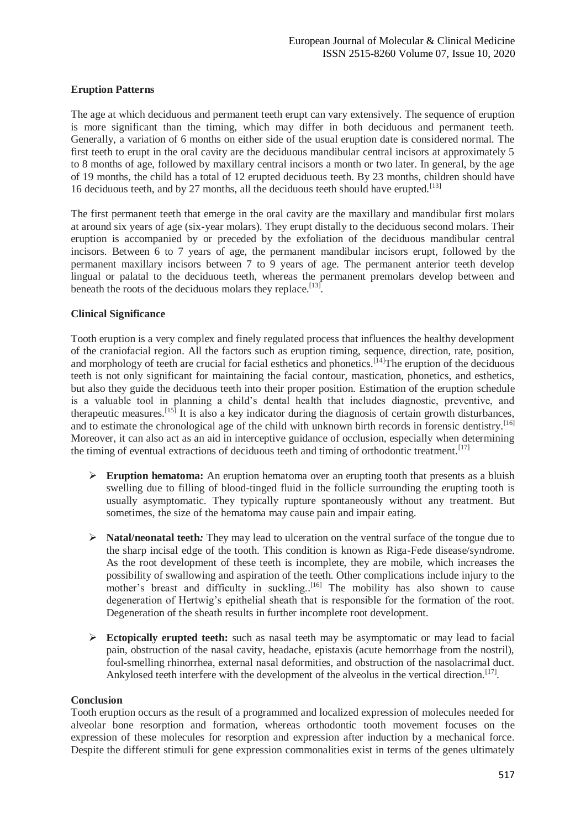## **Eruption Patterns**

The age at which deciduous and permanent teeth erupt can vary extensively. The sequence of eruption is more significant than the timing, which may differ in both deciduous and permanent teeth. Generally, a variation of 6 months on either side of the usual eruption date is considered normal. The first teeth to erupt in the oral cavity are the deciduous mandibular central incisors at approximately 5 to 8 months of age, followed by maxillary central incisors a month or two later. In general, by the age of 19 months, the child has a total of 12 erupted deciduous teeth. By 23 months, children should have 16 deciduous teeth, and by 27 months, all the deciduous teeth should have erupted.<sup>[13]</sup>

The first permanent teeth that emerge in the oral cavity are the maxillary and mandibular first molars at around six years of age (six-year molars). They erupt distally to the deciduous second molars. Their eruption is accompanied by or preceded by the exfoliation of the deciduous mandibular central incisors. Between 6 to 7 years of age, the permanent mandibular incisors erupt, followed by the permanent maxillary incisors between 7 to 9 years of age. The permanent anterior teeth develop lingual or palatal to the deciduous teeth, whereas the permanent premolars develop between and beneath the roots of the deciduous molars they replace.<sup>[13]</sup>.

#### **Clinical Significance**

Tooth eruption is a very complex and finely regulated process that influences the healthy development of the craniofacial region. All the factors such as eruption timing, sequence, direction, rate, position, and morphology of teeth are crucial for facial esthetics and phonetics.<sup>[14]</sup>The eruption of the deciduous teeth is not only significant for maintaining the facial contour, mastication, phonetics, and esthetics, but also they guide the deciduous teeth into their proper position. Estimation of the eruption schedule is a valuable tool in planning a child's dental health that includes diagnostic, preventive, and therapeutic measures.<sup>[15]</sup> It is also a key indicator during the diagnosis of certain growth disturbances, and to estimate the chronological age of the child with unknown birth records in forensic dentistry.<sup>[16]</sup> Moreover, it can also act as an aid in interceptive guidance of occlusion, especially when determining the timing of eventual extractions of deciduous teeth and timing of orthodontic treatment.<sup>[17]</sup>

- **Eruption hematoma:** An eruption hematoma over an erupting tooth that presents as a bluish swelling due to filling of blood-tinged fluid in the follicle surrounding the erupting tooth is usually asymptomatic. They typically rupture spontaneously without any treatment. But sometimes, the size of the hematoma may cause pain and impair eating.
- **Natal/neonatal teeth***:* They may lead to ulceration on the ventral surface of the tongue due to the sharp incisal edge of the tooth. This condition is known as Riga-Fede disease/syndrome. As the root development of these teeth is incomplete, they are mobile, which increases the possibility of swallowing and aspiration of the teeth. Other complications include injury to the mother's breast and difficulty in suckling.. [16] The mobility has also shown to cause degeneration of Hertwig's epithelial sheath that is responsible for the formation of the root. Degeneration of the sheath results in further incomplete root development.
- **Ectopically erupted teeth:** such as nasal teeth may be asymptomatic or may lead to facial pain, obstruction of the nasal cavity, headache, epistaxis (acute hemorrhage from the nostril), foul-smelling rhinorrhea, external nasal deformities, and obstruction of the nasolacrimal duct. Ankylosed teeth interfere with the development of the alveolus in the vertical direction.<sup>[17]</sup>.

#### **Conclusion**

Tooth eruption occurs as the result of a programmed and localized expression of molecules needed for alveolar bone resorption and formation, whereas orthodontic tooth movement focuses on the expression of these molecules for resorption and expression after induction by a mechanical force. Despite the different stimuli for gene expression commonalities exist in terms of the genes ultimately